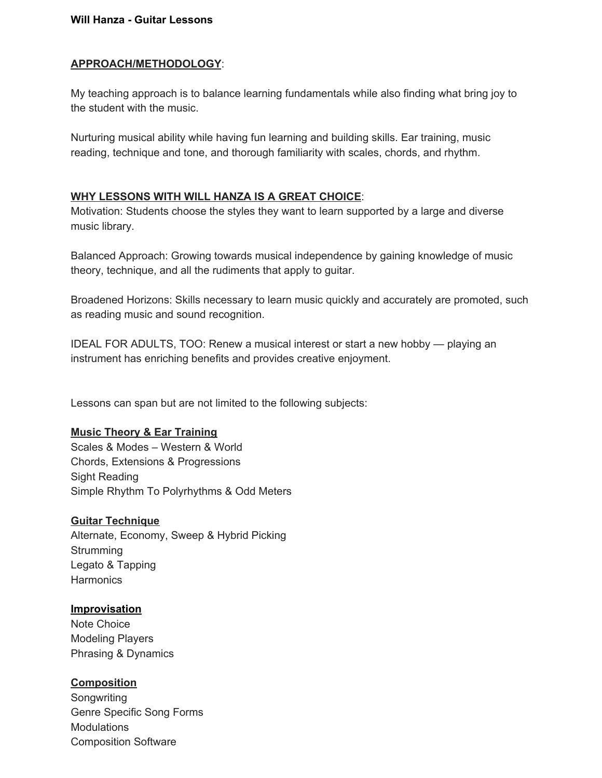#### **Will Hanza - Guitar Lessons**

### **APPROACH/METHODOLOGY**:

My teaching approach is to balance learning fundamentals while also finding what bring joy to the student with the music.

Nurturing musical ability while having fun learning and building skills. Ear training, music reading, technique and tone, and thorough familiarity with scales, chords, and rhythm.

### **WHY LESSONS WITH WILL HANZA IS A GREAT CHOICE**:

Motivation: Students choose the styles they want to learn supported by a large and diverse music library.

Balanced Approach: Growing towards musical independence by gaining knowledge of music theory, technique, and all the rudiments that apply to guitar.

Broadened Horizons: Skills necessary to learn music quickly and accurately are promoted, such as reading music and sound recognition.

IDEAL FOR ADULTS, TOO: Renew a musical interest or start a new hobby — playing an instrument has enriching benefits and provides creative enjoyment.

Lessons can span but are not limited to the following subjects:

### **Music Theory & Ear Training**

Scales & Modes – Western & World Chords, Extensions & Progressions Sight Reading Simple Rhythm To Polyrhythms & Odd Meters

### **Guitar Technique**

Alternate, Economy, Sweep & Hybrid Picking **Strumming** Legato & Tapping **Harmonics** 

### **Improvisation**

Note Choice Modeling Players Phrasing & Dynamics

# **Composition**

Songwriting Genre Specific Song Forms **Modulations** Composition Software